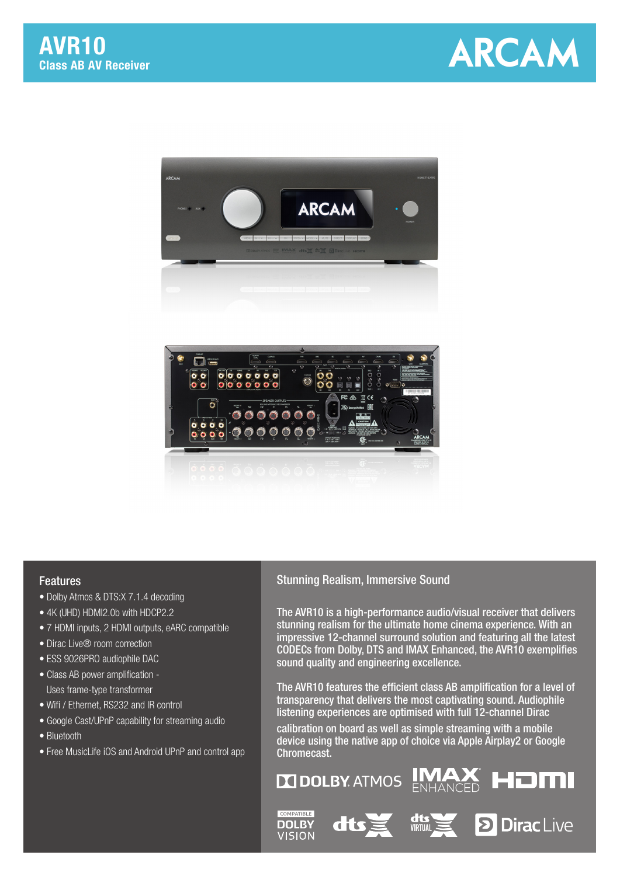





## Features

- Dolby Atmos & DTS:X 7.1.4 decoding
- 4K (UHD) HDMI2.0b with HDCP2.2
- 7 HDMI inputs, 2 HDMI outputs, eARC compatible
- Dirac Live® room correction
- ESS 9026PRO audiophile DAC
- Class AB power amplification Uses frame-type transformer
- Wifi / Ethernet, RS232 and IR control
- Google Cast/UPnP capability for streaming audio
- Bluetooth
- Free MusicLife iOS and Android UPnP and control app

## Stunning Realism, Immersive Sound

The AVR10 is a high-performance audio/visual receiver that delivers stunning realism for the ultimate home cinema experience. With an impressive 12-channel surround solution and featuring all the latest CODECs from Dolby, DTS and IMAX Enhanced, the AVR10 exemplifies sound quality and engineering excellence.

The AVR10 features the efficient class AB amplification for a level of transparency that delivers the most captivating sound. Audiophile listening experiences are optimised with full 12-channel Dirac

calibration on board as well as simple streaming with a mobile device using the native app of choice via Apple Airplay2 or Google Chromecast.